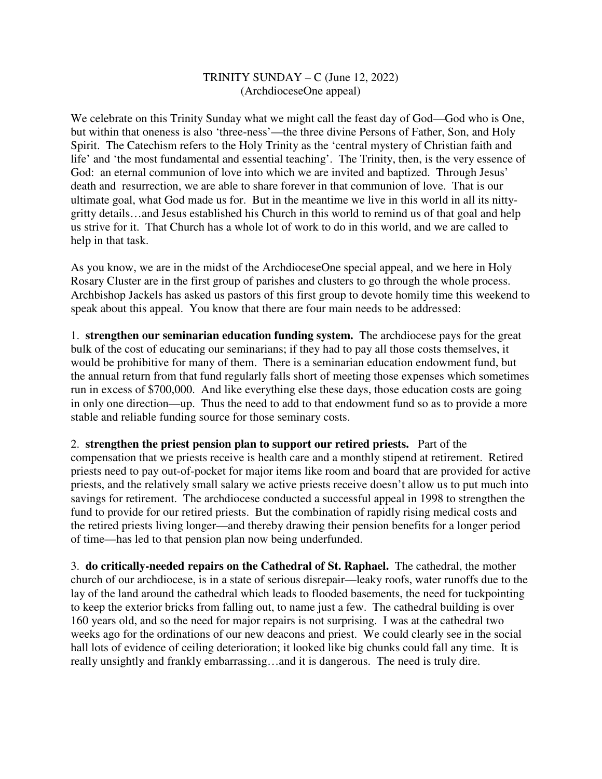## TRINITY SUNDAY – C (June 12, 2022) (ArchdioceseOne appeal)

We celebrate on this Trinity Sunday what we might call the feast day of God—God who is One, but within that oneness is also 'three-ness'—the three divine Persons of Father, Son, and Holy Spirit. The Catechism refers to the Holy Trinity as the 'central mystery of Christian faith and life' and 'the most fundamental and essential teaching'. The Trinity, then, is the very essence of God: an eternal communion of love into which we are invited and baptized. Through Jesus' death and resurrection, we are able to share forever in that communion of love. That is our ultimate goal, what God made us for. But in the meantime we live in this world in all its nittygritty details…and Jesus established his Church in this world to remind us of that goal and help us strive for it. That Church has a whole lot of work to do in this world, and we are called to help in that task.

As you know, we are in the midst of the ArchdioceseOne special appeal, and we here in Holy Rosary Cluster are in the first group of parishes and clusters to go through the whole process. Archbishop Jackels has asked us pastors of this first group to devote homily time this weekend to speak about this appeal. You know that there are four main needs to be addressed:

1. **strengthen our seminarian education funding system.** The archdiocese pays for the great bulk of the cost of educating our seminarians; if they had to pay all those costs themselves, it would be prohibitive for many of them. There is a seminarian education endowment fund, but the annual return from that fund regularly falls short of meeting those expenses which sometimes run in excess of \$700,000. And like everything else these days, those education costs are going in only one direction—up. Thus the need to add to that endowment fund so as to provide a more stable and reliable funding source for those seminary costs.

2. **strengthen the priest pension plan to support our retired priests.** Part of the compensation that we priests receive is health care and a monthly stipend at retirement. Retired priests need to pay out-of-pocket for major items like room and board that are provided for active priests, and the relatively small salary we active priests receive doesn't allow us to put much into savings for retirement. The archdiocese conducted a successful appeal in 1998 to strengthen the fund to provide for our retired priests. But the combination of rapidly rising medical costs and the retired priests living longer—and thereby drawing their pension benefits for a longer period of time—has led to that pension plan now being underfunded.

3. **do critically-needed repairs on the Cathedral of St. Raphael.** The cathedral, the mother church of our archdiocese, is in a state of serious disrepair—leaky roofs, water runoffs due to the lay of the land around the cathedral which leads to flooded basements, the need for tuckpointing to keep the exterior bricks from falling out, to name just a few. The cathedral building is over 160 years old, and so the need for major repairs is not surprising. I was at the cathedral two weeks ago for the ordinations of our new deacons and priest. We could clearly see in the social hall lots of evidence of ceiling deterioration; it looked like big chunks could fall any time. It is really unsightly and frankly embarrassing…and it is dangerous. The need is truly dire.